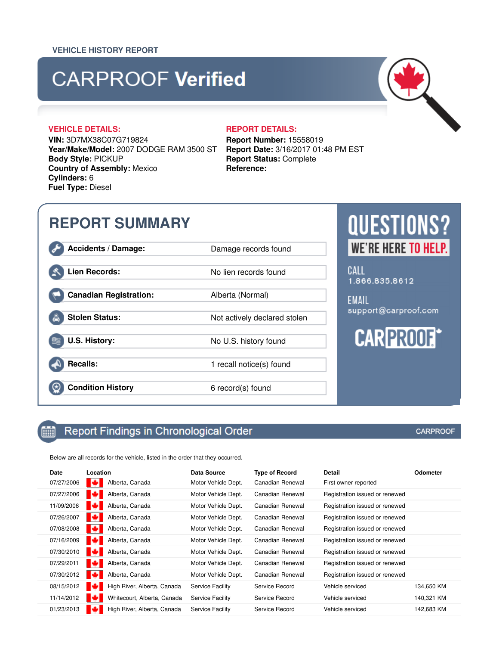## **CARPROOF Verified**

**VIN:** 3D7MX38C07G719824 **Year/Make/Model:** 2007 DODGE RAM 3500 ST **Body Style:** PICKUP **Country of Assembly:** Mexico **Cylinders:** 6 **Fuel Type:** Diesel

### **VEHICLE DETAILS: REPORT DETAILS:**

**Report Number:** 15558019 **Report Date:** 3/16/2017 01:48 PM EST **Report Status:** Complete **Reference:**

## **REPORT SUMMARY**

**Accidents / Damage:** Damage records found

**Lien Records:** No lien records found

**Canadian Registration:** Alberta (Normal)

**Stolen Status:** Not actively declared stolen

**U.S. History:** No U.S. history found

**Recalls:** 1 recall notice(s) found

前

**Condition History** 6 record(s) found

### Report Findings in Chronological Order

Below are all records for the vehicle, listed in the order that they occurred.

| Date       | Location                         | Data Source             | Type of Record   | Detail                         | Odometer   |
|------------|----------------------------------|-------------------------|------------------|--------------------------------|------------|
| 07/27/2006 | Alberta, Canada<br>ю             | Motor Vehicle Dept.     | Canadian Renewal | First owner reported           |            |
| 07/27/2006 | Alberta, Canada<br>ю             | Motor Vehicle Dept.     | Canadian Renewal | Registration issued or renewed |            |
| 11/09/2006 | Alberta, Canada                  | Motor Vehicle Dept.     | Canadian Renewal | Registration issued or renewed |            |
| 07/26/2007 | Alberta, Canada                  | Motor Vehicle Dept.     | Canadian Renewal | Registration issued or renewed |            |
| 07/08/2008 | Alberta, Canada<br>cз            | Motor Vehicle Dept.     | Canadian Renewal | Registration issued or renewed |            |
| 07/16/2009 | Alberta, Canada                  | Motor Vehicle Dept.     | Canadian Renewal | Registration issued or renewed |            |
| 07/30/2010 | Alberta, Canada<br>ЮZ            | Motor Vehicle Dept.     | Canadian Renewal | Registration issued or renewed |            |
| 07/29/2011 | Alberta, Canada<br>ю             | Motor Vehicle Dept.     | Canadian Renewal | Registration issued or renewed |            |
| 07/30/2012 | ю<br>Alberta, Canada             | Motor Vehicle Dept.     | Canadian Renewal | Registration issued or renewed |            |
| 08/15/2012 | ю<br>High River, Alberta, Canada | <b>Service Facility</b> | Service Record   | Vehicle serviced               | 134,650 KM |
| 11/14/2012 | ю<br>Whitecourt, Alberta, Canada | <b>Service Facility</b> | Service Record   | Vehicle serviced               | 140,321 KM |
| 01/23/2013 | High River, Alberta, Canada      | <b>Service Facility</b> | Service Record   | Vehicle serviced               | 142,683 KM |

**CARPROOF** 

# **QUESTIONS? WE'RE HERE TO HELP.**

CALL 1.866.835.8612

**FMAIL** support@carproof.com



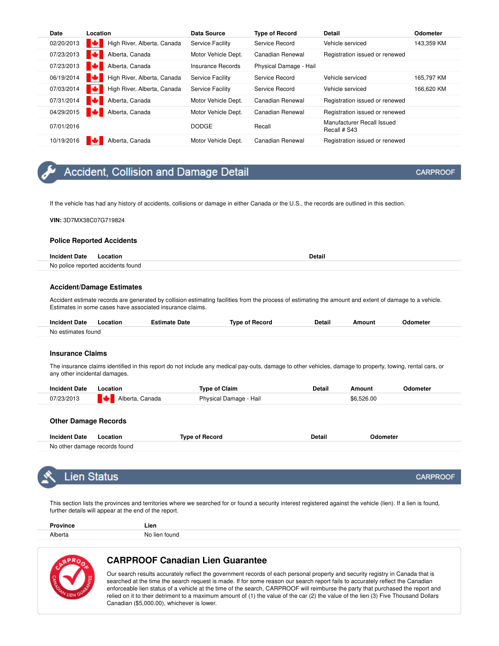| Date       | Location                    | <b>Data Source</b>      | <b>Type of Record</b>  | <b>Detail</b>                              | <b>Odometer</b> |
|------------|-----------------------------|-------------------------|------------------------|--------------------------------------------|-----------------|
| 02/20/2013 | High River, Alberta, Canada | <b>Service Facility</b> | Service Record         | Vehicle serviced                           | 143,359 KM      |
| 07/23/2013 | Alberta, Canada             | Motor Vehicle Dept.     | Canadian Renewal       | Registration issued or renewed             |                 |
| 07/23/2013 | Alberta, Canada             | Insurance Records       | Physical Damage - Hail |                                            |                 |
| 06/19/2014 | High River, Alberta, Canada | <b>Service Facility</b> | Service Record         | Vehicle serviced                           | 165.797 KM      |
| 07/03/2014 | High River, Alberta, Canada | <b>Service Facility</b> | Service Record         | Vehicle serviced                           | 166.620 KM      |
| 07/31/2014 | Alberta, Canada             | Motor Vehicle Dept.     | Canadian Renewal       | Registration issued or renewed             |                 |
| 04/29/2015 | Alberta, Canada             | Motor Vehicle Dept.     | Canadian Renewal       | Registration issued or renewed             |                 |
| 07/01/2016 |                             | <b>DODGE</b>            | Recall                 | Manufacturer Recall Issued<br>Recall # S43 |                 |
| 10/19/2016 | Alberta, Canada             | Motor Vehicle Dept.     | Canadian Renewal       | Registration issued or renewed             |                 |

### Accident, Collision and Damage Detail

If the vehicle has had any history of accidents, collisions or damage in either Canada or the U.S., the records are outlined in this section.

**VIN:** 3D7MX38C07G719824

#### **Police Reported Accidents**

### **Incident Date** Location **Detail** No police reported accidents found

#### **Accident/Damage Estimates**

Accident estimate records are generated by collision estimating facilities from the process of estimating the amount and extent of damage to a vehicle. Estimates in some cases have associated insurance claims.

| <b>Incident Date</b> | ocation. | Date<br>1ate | ' Record<br><b>Tyne</b> | <b>Detail</b> | `oun. | Jdometer |  |
|----------------------|----------|--------------|-------------------------|---------------|-------|----------|--|
| No estimates found   |          |              |                         |               |       |          |  |

### **Insurance Claims**

The insurance claims identified in this report do not include any medical pay-outs, damage to other vehicles, damage to property, towing, rental cars, or any other incidental damages.

| <b>Incident Date</b> | ocation            | Tvpe of Claim                    | Detail | moun       | <b>)dometer</b> |
|----------------------|--------------------|----------------------------------|--------|------------|-----------------|
| )7/23/2013           | Alberta.<br>Canada | <b>Physical Damage</b><br>- Hail |        | \$6,526.00 |                 |

| <b>Incident Date</b>                      |  |  | Detail |  |
|-------------------------------------------|--|--|--------|--|
| No other<br>er damade records to<br>tound |  |  |        |  |



### Lien Status

This section lists the provinces and territories where we searched for or found a security interest registered against the vehicle (lien). If a lien is found, further details will appear at the end of the report.

| -<br>wince   | ∟ien<br>___                |
|--------------|----------------------------|
| Alberta<br>. | - No<br>tound<br>⊣i≙n<br>. |



### **CARPROOF Canadian Lien Guarantee**

Our search results accurately reflect the government records of each personal property and security registry in Canada that is searched at the time the search request is made. If for some reason our search report fails to accurately reflect the Canadian enforceable lien status of a vehicle at the time of the search, CARPROOF will reimburse the party that purchased the report and relied on it to their detriment to a maximum amount of (1) the value of the car (2) the value of the lien (3) Five Thousand Dollars Canadian (\$5,000.00), whichever is lower.

**CARPROOF** 

**CARPROOF**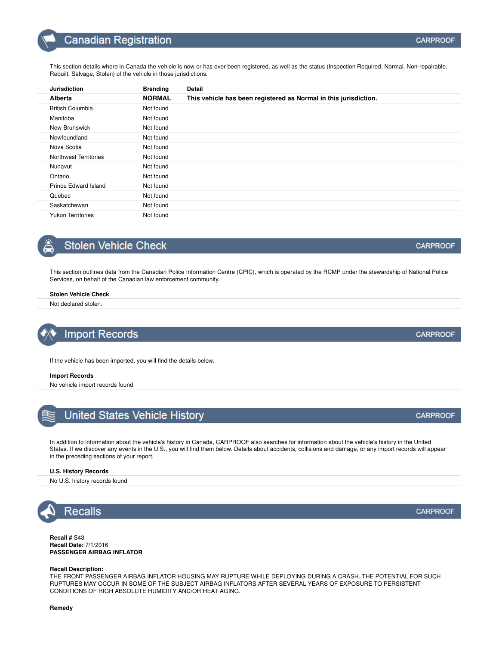| <b>Jurisdiction</b>      | <b>Branding</b> | Detail                                                           |
|--------------------------|-----------------|------------------------------------------------------------------|
| Alberta                  | <b>NORMAL</b>   | This vehicle has been registered as Normal in this jurisdiction. |
| <b>British Columbia</b>  | Not found       |                                                                  |
| Manitoba                 | Not found       |                                                                  |
| New Brunswick            | Not found       |                                                                  |
| Newfoundland             | Not found       |                                                                  |
| Nova Scotia              | Not found       |                                                                  |
| Northwest Territories    | Not found       |                                                                  |
| Nunavut                  | Not found       |                                                                  |
| Ontario                  | Not found       |                                                                  |
| Prince Edward Island     | Not found       |                                                                  |
| Quebec                   | Not found       |                                                                  |
| Saskatchewan             | Not found       |                                                                  |
| <b>Yukon Territories</b> | Not found       |                                                                  |
|                          |                 |                                                                  |

### **Stolen Vehicle Check**

This section outlines data from the Canadian Police Information Centre (CPIC), which is operated by the RCMP under the stewardship of National Police Services, on behalf of the Canadian law enforcement community.

### **Stolen Vehicle Check**

Not declared stolen.

### **Import Records**

If the vehicle has been imported, you will find the details below.

#### **Import Records**

No vehicle import records found



In addition to information about the vehicle's history in Canada, CARPROOF also searches for information about the vehicle's history in the United States. If we discover any events in the U.S., you will find them below. Details about accidents, collisions and damage, or any import records will appear in the preceding sections of your report.

#### **U.S. History Records**

No U.S. history records found



**Recall #** S43 **Recall Date:** 7/1/2016 **PASSENGER AIRBAG INFLATOR**

### **Recall Description:**

THE FRONT PASSENGER AIRBAG INFLATOR HOUSING MAY RUPTURE WHILE DEPLOYING DURING A CRASH. THE POTENTIAL FOR SUCH RUPTURES MAY OCCUR IN SOME OF THE SUBJECT AIRBAG INFLATORS AFTER SEVERAL YEARS OF EXPOSURE TO PERSISTENT CONDITIONS OF HIGH ABSOLUTE HUMIDITY AND/OR HEAT AGING.

**CARPROOF** 

**CARPROOF** 

**CARPROOF**